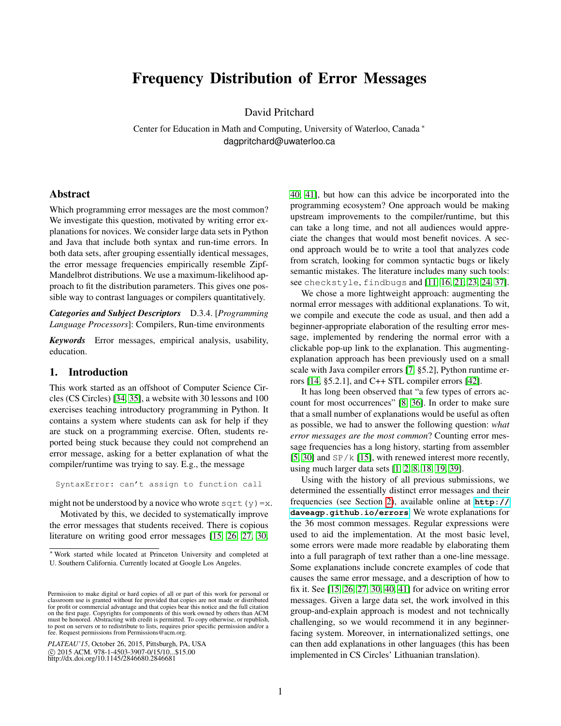# Frequency Distribution of Error Messages

David Pritchard

Center for Education in Math and Computing, University of Waterloo, Canada <sup>∗</sup> dagpritchard@uwaterloo.ca

# Abstract

Which programming error messages are the most common? We investigate this question, motivated by writing error explanations for novices. We consider large data sets in Python and Java that include both syntax and run-time errors. In both data sets, after grouping essentially identical messages, the error message frequencies empirically resemble Zipf-Mandelbrot distributions. We use a maximum-likelihood approach to fit the distribution parameters. This gives one possible way to contrast languages or compilers quantitatively.

*Categories and Subject Descriptors* D.3.4. [*Programming Language Processors*]: Compilers, Run-time environments

*Keywords* Error messages, empirical analysis, usability, education.

## 1. Introduction

This work started as an offshoot of Computer Science Circles (CS Circles) [\[34,](#page-7-0) [35\]](#page-7-1), a website with 30 lessons and 100 exercises teaching introductory programming in Python. It contains a system where students can ask for help if they are stuck on a programming exercise. Often, students reported being stuck because they could not comprehend an error message, asking for a better explanation of what the compiler/runtime was trying to say. E.g., the message

SyntaxError: can't assign to function call

might not be understood by a novice who wrote sqrt(y)=x.

Motivated by this, we decided to systematically improve the error messages that students received. There is copious literature on writing good error messages [\[15,](#page-6-0) [26,](#page-7-2) [27,](#page-7-3) [30,](#page-7-4)

[40,](#page-7-5) [41\]](#page-7-6), but how can this advice be incorporated into the programming ecosystem? One approach would be making upstream improvements to the compiler/runtime, but this can take a long time, and not all audiences would appreciate the changes that would most benefit novices. A second approach would be to write a tool that analyzes code from scratch, looking for common syntactic bugs or likely semantic mistakes. The literature includes many such tools: see checkstyle, findbugs and [\[11,](#page-6-1) [16,](#page-6-2) [21,](#page-6-3) [23,](#page-6-4) [24,](#page-6-5) [37\]](#page-7-7).

We chose a more lightweight approach: augmenting the normal error messages with additional explanations. To wit, we compile and execute the code as usual, and then add a beginner-appropriate elaboration of the resulting error message, implemented by rendering the normal error with a clickable pop-up link to the explanation. This augmentingexplanation approach has been previously used on a small scale with Java compiler errors [\[7,](#page-6-6) §5.2], Python runtime errors  $[14, §5.2.1]$  $[14, §5.2.1]$ , and  $C++$  STL compiler errors  $[42]$ .

It has long been observed that "a few types of errors account for most occurrences" [\[8,](#page-6-8) [36\]](#page-7-9). In order to make sure that a small number of explanations would be useful as often as possible, we had to answer the following question: *what error messages are the most common*? Counting error message frequencies has a long history, starting from assembler [\[5,](#page-6-9) [30\]](#page-7-4) and  $SP/k$  [\[15\]](#page-6-0), with renewed interest more recently, using much larger data sets [\[1,](#page-6-10) [2,](#page-6-11) [8,](#page-6-8) [18,](#page-6-12) [19,](#page-6-13) [39\]](#page-7-10).

Using with the history of all previous submissions, we determined the essentially distinct error messages and their frequencies (see Section [2\)](#page-1-0), available online at **[http://](http://daveagp.github.io/errors) [daveagp.github.io/errors](http://daveagp.github.io/errors)**. We wrote explanations for the 36 most common messages. Regular expressions were used to aid the implementation. At the most basic level, some errors were made more readable by elaborating them into a full paragraph of text rather than a one-line message. Some explanations include concrete examples of code that causes the same error message, and a description of how to fix it. See [\[15,](#page-6-0) [26,](#page-7-2) [27,](#page-7-3) [30,](#page-7-4) [40,](#page-7-5) [41\]](#page-7-6) for advice on writing error messages. Given a large data set, the work involved in this group-and-explain approach is modest and not technically challenging, so we would recommend it in any beginnerfacing system. Moreover, in internationalized settings, one can then add explanations in other languages (this has been implemented in CS Circles' Lithuanian translation).

<sup>∗</sup> Work started while located at Princeton University and completed at U. Southern California. Currently located at Google Los Angeles.

Permission to make digital or hard copies of all or part of this work for personal or classroom use is granted without fee provided that copies are not made or distributed for profit or commercial advantage and that copies bear this notice and the full citation on the first page. Copyrights for components of this work owned by others than ACM must be honored. Abstracting with credit is permitted. To copy otherwise, or republish, to post on servers or to redistribute to lists, requires prior specific permission and/or a fee. Request permissions from Permissions@acm.org.

*PLATEAU'15*, October 26, 2015, Pittsburgh, PA, USA c 2015 ACM. 978-1-4503-3907-0/15/10...\$15.00 http://dx.doi.org/10.1145/2846680.2846681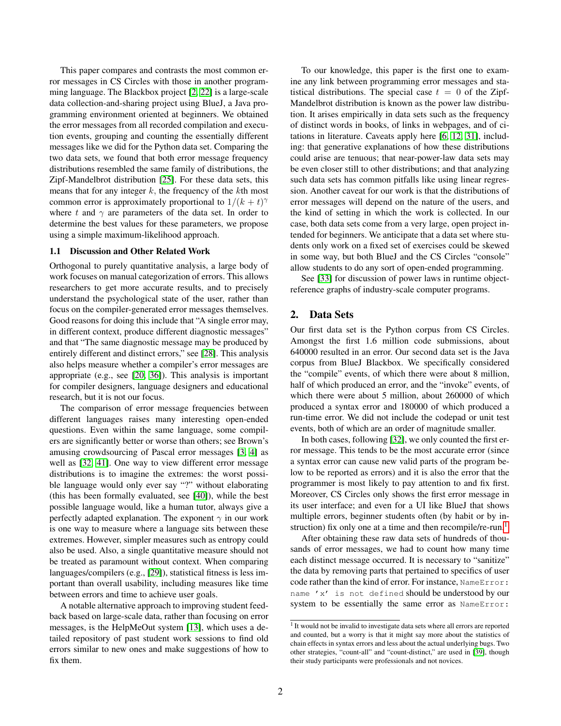This paper compares and contrasts the most common error messages in CS Circles with those in another programming language. The Blackbox project [\[2,](#page-6-11) [22\]](#page-6-14) is a large-scale data collection-and-sharing project using BlueJ, a Java programming environment oriented at beginners. We obtained the error messages from all recorded compilation and execution events, grouping and counting the essentially different messages like we did for the Python data set. Comparing the two data sets, we found that both error message frequency distributions resembled the same family of distributions, the Zipf-Mandelbrot distribution [\[25\]](#page-7-11). For these data sets, this means that for any integer  $k$ , the frequency of the  $k$ th most common error is approximately proportional to  $1/(k + t)$ <sup> $\gamma$ </sup> where t and  $\gamma$  are parameters of the data set. In order to determine the best values for these parameters, we propose using a simple maximum-likelihood approach.

#### <span id="page-1-2"></span>1.1 Discussion and Other Related Work

Orthogonal to purely quantitative analysis, a large body of work focuses on manual categorization of errors. This allows researchers to get more accurate results, and to precisely understand the psychological state of the user, rather than focus on the compiler-generated error messages themselves. Good reasons for doing this include that "A single error may, in different context, produce different diagnostic messages" and that "The same diagnostic message may be produced by entirely different and distinct errors," see [\[28\]](#page-7-12). This analysis also helps measure whether a compiler's error messages are appropriate (e.g., see [\[20,](#page-6-15) [36\]](#page-7-9)). This analysis is important for compiler designers, language designers and educational research, but it is not our focus.

The comparison of error message frequencies between different languages raises many interesting open-ended questions. Even within the same language, some compilers are significantly better or worse than others; see Brown's amusing crowdsourcing of Pascal error messages [\[3,](#page-6-16) [4\]](#page-6-17) as well as [\[32,](#page-7-13) [41\]](#page-7-6). One way to view different error message distributions is to imagine the extremes: the worst possible language would only ever say "?" without elaborating (this has been formally evaluated, see [\[40\]](#page-7-5)), while the best possible language would, like a human tutor, always give a perfectly adapted explanation. The exponent  $\gamma$  in our work is one way to measure where a language sits between these extremes. However, simpler measures such as entropy could also be used. Also, a single quantitative measure should not be treated as paramount without context. When comparing languages/compilers (e.g., [\[29\]](#page-7-14)), statistical fitness is less important than overall usability, including measures like time between errors and time to achieve user goals.

A notable alternative approach to improving student feedback based on large-scale data, rather than focusing on error messages, is the HelpMeOut system [\[13\]](#page-6-18), which uses a detailed repository of past student work sessions to find old errors similar to new ones and make suggestions of how to fix them.

To our knowledge, this paper is the first one to examine any link between programming error messages and statistical distributions. The special case  $t = 0$  of the Zipf-Mandelbrot distribution is known as the power law distribution. It arises empirically in data sets such as the frequency of distinct words in books, of links in webpages, and of citations in literature. Caveats apply here [\[6,](#page-6-19) [12,](#page-6-20) [31\]](#page-7-15), including: that generative explanations of how these distributions could arise are tenuous; that near-power-law data sets may be even closer still to other distributions; and that analyzing such data sets has common pitfalls like using linear regression. Another caveat for our work is that the distributions of error messages will depend on the nature of the users, and the kind of setting in which the work is collected. In our case, both data sets come from a very large, open project intended for beginners. We anticipate that a data set where students only work on a fixed set of exercises could be skewed in some way, but both BlueJ and the CS Circles "console" allow students to do any sort of open-ended programming.

See [\[33\]](#page-7-16) for discussion of power laws in runtime objectreference graphs of industry-scale computer programs.

# <span id="page-1-0"></span>2. Data Sets

Our first data set is the Python corpus from CS Circles. Amongst the first 1.6 million code submissions, about 640000 resulted in an error. Our second data set is the Java corpus from BlueJ Blackbox. We specifically considered the "compile" events, of which there were about 8 million, half of which produced an error, and the "invoke" events, of which there were about 5 million, about 260000 of which produced a syntax error and 180000 of which produced a run-time error. We did not include the codepad or unit test events, both of which are an order of magnitude smaller.

In both cases, following [\[32\]](#page-7-13), we only counted the first error message. This tends to be the most accurate error (since a syntax error can cause new valid parts of the program below to be reported as errors) and it is also the error that the programmer is most likely to pay attention to and fix first. Moreover, CS Circles only shows the first error message in its user interface; and even for a UI like BlueJ that shows multiple errors, beginner students often (by habit or by in-struction) fix only one at a time and then recompile/re-run.<sup>[1](#page-1-1)</sup>

After obtaining these raw data sets of hundreds of thousands of error messages, we had to count how many time each distinct message occurred. It is necessary to "sanitize" the data by removing parts that pertained to specifics of user code rather than the kind of error. For instance, NameError: name 'x' is not defined should be understood by our system to be essentially the same error as NameError:

<span id="page-1-1"></span><sup>&</sup>lt;sup>1</sup> It would not be invalid to investigate data sets where all errors are reported and counted, but a worry is that it might say more about the statistics of chain effects in syntax errors and less about the actual underlying bugs. Two other strategies, "count-all" and "count-distinct," are used in [\[39\]](#page-7-10), though their study participants were professionals and not novices.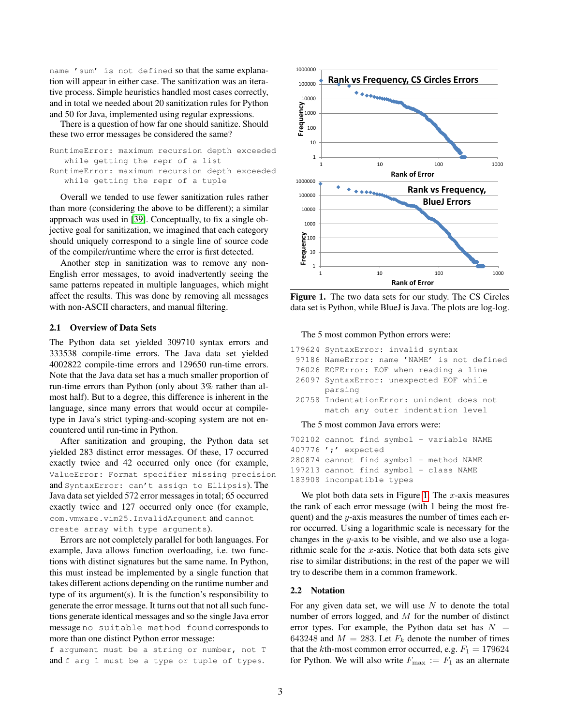name 'sum' is not defined so that the same explanation will appear in either case. The sanitization was an iterative process. Simple heuristics handled most cases correctly, and in total we needed about 20 sanitization rules for Python and 50 for Java, implemented using regular expressions.

There is a question of how far one should sanitize. Should these two error messages be considered the same?

```
RuntimeError: maximum recursion depth exceeded
  while getting the repr of a list
RuntimeError: maximum recursion depth exceeded
  while getting the repr of a tuple
```
Overall we tended to use fewer sanitization rules rather than more (considering the above to be different); a similar approach was used in [\[39\]](#page-7-10). Conceptually, to fix a single objective goal for sanitization, we imagined that each category should uniquely correspond to a single line of source code of the compiler/runtime where the error is first detected.

Another step in sanitization was to remove any non-English error messages, to avoid inadvertently seeing the same patterns repeated in multiple languages, which might affect the results. This was done by removing all messages with non-ASCII characters, and manual filtering.

#### <span id="page-2-1"></span>2.1 Overview of Data Sets

The Python data set yielded 309710 syntax errors and 333538 compile-time errors. The Java data set yielded 4002822 compile-time errors and 129650 run-time errors. Note that the Java data set has a much smaller proportion of run-time errors than Python (only about 3% rather than almost half). But to a degree, this difference is inherent in the language, since many errors that would occur at compiletype in Java's strict typing-and-scoping system are not encountered until run-time in Python.

After sanitization and grouping, the Python data set yielded 283 distinct error messages. Of these, 17 occurred exactly twice and 42 occurred only once (for example, ValueError: Format specifier missing precision and SyntaxError: can't assign to Ellipsis). The Java data set yielded 572 error messages in total; 65 occurred exactly twice and 127 occurred only once (for example, com.vmware.vim25.InvalidArgument and cannot create array with type arguments).

Errors are not completely parallel for both languages. For example, Java allows function overloading, i.e. two functions with distinct signatures but the same name. In Python, this must instead be implemented by a single function that takes different actions depending on the runtime number and type of its argument(s). It is the function's responsibility to generate the error message. It turns out that not all such functions generate identical messages and so the single Java error message no suitable method found corresponds to more than one distinct Python error message:

f argument must be a string or number, not T and f arg 1 must be a type or tuple of types.



<span id="page-2-0"></span>Figure 1. The two data sets for our study. The CS Circles data set is Python, while BlueJ is Java. The plots are log-log.

#### The 5 most common Python errors were:

```
179624 SyntaxError: invalid syntax
```
- 97186 NameError: name 'NAME' is not defined
- 76026 EOFError: EOF when reading a line 26097 SyntaxError: unexpected EOF while
- parsing 20758 IndentationError: unindent does not match any outer indentation level

#### The 5 most common Java errors were:

702102 cannot find symbol - variable NAME 407776 ';' expected 280874 cannot find symbol - method NAME 197213 cannot find symbol - class NAME 183908 incompatible types

We plot both data sets in Figure [1.](#page-2-0) The  $x$ -axis measures the rank of each error message (with 1 being the most frequent) and the  $y$ -axis measures the number of times each error occurred. Using a logarithmic scale is necessary for the changes in the y-axis to be visible, and we also use a logarithmic scale for the  $x$ -axis. Notice that both data sets give rise to similar distributions; in the rest of the paper we will try to describe them in a common framework.

#### 2.2 Notation

For any given data set, we will use  $N$  to denote the total number of errors logged, and  $M$  for the number of distinct error types. For example, the Python data set has  $N =$ 643248 and  $M = 283$ . Let  $F_k$  denote the number of times that the kth-most common error occurred, e.g.  $F_1 = 179624$ for Python. We will also write  $F_{\text{max}} := F_1$  as an alternate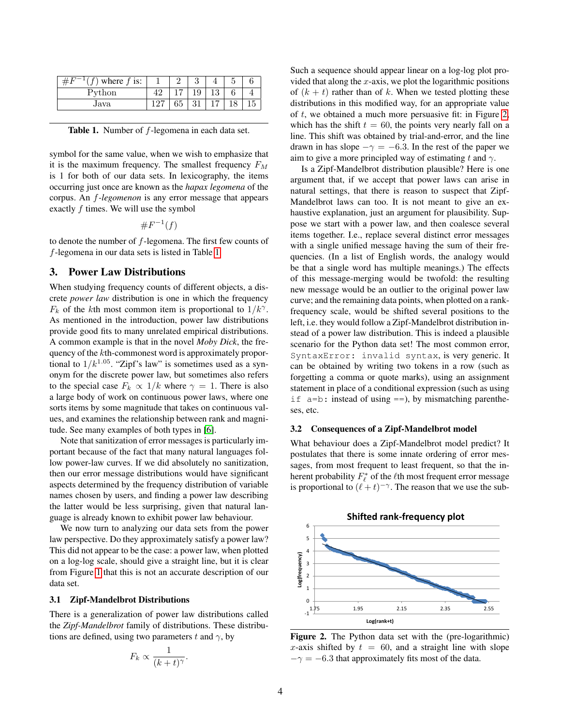| where $f$ is: |  |    |    |  |
|---------------|--|----|----|--|
| Python        |  | Q  | 10 |  |
| Java          |  | 01 |    |  |

<span id="page-3-0"></span>

| Table 1. Number of f-legomena in each data set. |  |
|-------------------------------------------------|--|
|-------------------------------------------------|--|

symbol for the same value, when we wish to emphasize that it is the maximum frequency. The smallest frequency  $F_M$ is 1 for both of our data sets. In lexicography, the items occurring just once are known as the *hapax legomena* of the corpus. An f*-legomenon* is any error message that appears exactly  $f$  times. We will use the symbol

 $\#F^{-1}(f)$ 

to denote the number of  $f$ -legomena. The first few counts of f-legomena in our data sets is listed in Table [1.](#page-3-0)

## 3. Power Law Distributions

When studying frequency counts of different objects, a discrete *power law* distribution is one in which the frequency  $F_k$  of the kth most common item is proportional to  $1/k^{\gamma}$ . As mentioned in the introduction, power law distributions provide good fits to many unrelated empirical distributions. A common example is that in the novel *Moby Dick*, the frequency of the kth-commonest word is approximately proportional to  $1/k^{1.05}$ . "Zipf's law" is sometimes used as a synonym for the discrete power law, but sometimes also refers to the special case  $F_k \propto 1/k$  where  $\gamma = 1$ . There is also a large body of work on continuous power laws, where one sorts items by some magnitude that takes on continuous values, and examines the relationship between rank and magnitude. See many examples of both types in [\[6\]](#page-6-19).

Note that sanitization of error messages is particularly important because of the fact that many natural languages follow power-law curves. If we did absolutely no sanitization, then our error message distributions would have significant aspects determined by the frequency distribution of variable names chosen by users, and finding a power law describing the latter would be less surprising, given that natural language is already known to exhibit power law behaviour.

We now turn to analyzing our data sets from the power law perspective. Do they approximately satisfy a power law? This did not appear to be the case: a power law, when plotted on a log-log scale, should give a straight line, but it is clear from Figure [1](#page-2-0) that this is not an accurate description of our data set.

#### <span id="page-3-2"></span>3.1 Zipf-Mandelbrot Distributions

There is a generalization of power law distributions called the *Zipf-Mandelbrot* family of distributions. These distributions are defined, using two parameters t and  $\gamma$ , by

$$
F_k \propto \frac{1}{(k+t)^{\gamma}}.
$$

Such a sequence should appear linear on a log-log plot provided that along the  $x$ -axis, we plot the logarithmic positions of  $(k + t)$  rather than of k. When we tested plotting these distributions in this modified way, for an appropriate value of t, we obtained a much more persuasive fit: in Figure [2,](#page-3-1) which has the shift  $t = 60$ , the points very nearly fall on a line. This shift was obtained by trial-and-error, and the line drawn in has slope  $-\gamma = -6.3$ . In the rest of the paper we aim to give a more principled way of estimating t and  $\gamma$ .

Is a Zipf-Mandelbrot distribution plausible? Here is one argument that, if we accept that power laws can arise in natural settings, that there is reason to suspect that Zipf-Mandelbrot laws can too. It is not meant to give an exhaustive explanation, just an argument for plausibility. Suppose we start with a power law, and then coalesce several items together. I.e., replace several distinct error messages with a single unified message having the sum of their frequencies. (In a list of English words, the analogy would be that a single word has multiple meanings.) The effects of this message-merging would be twofold: the resulting new message would be an outlier to the original power law curve; and the remaining data points, when plotted on a rankfrequency scale, would be shifted several positions to the left, i.e. they would follow a Zipf-Mandelbrot distribution instead of a power law distribution. This is indeed a plausible scenario for the Python data set! The most common error, SyntaxError: invalid syntax, is very generic. It can be obtained by writing two tokens in a row (such as forgetting a comma or quote marks), using an assignment statement in place of a conditional expression (such as using if  $a=b$ : instead of using  $==$ ), by mismatching parentheses, etc.

#### 3.2 Consequences of a Zipf-Mandelbrot model

What behaviour does a Zipf-Mandelbrot model predict? It postulates that there is some innate ordering of error messages, from most frequent to least frequent, so that the inherent probability  $F_{\ell}^*$  of the  $\ell$ th most frequent error message is proportional to  $(\ell + t)^{-\gamma}$ . The reason that we use the sub-



<span id="page-3-1"></span>Figure 2. The Python data set with the (pre-logarithmic) x-axis shifted by  $t = 60$ , and a straight line with slope  $-\gamma = -6.3$  that approximately fits most of the data.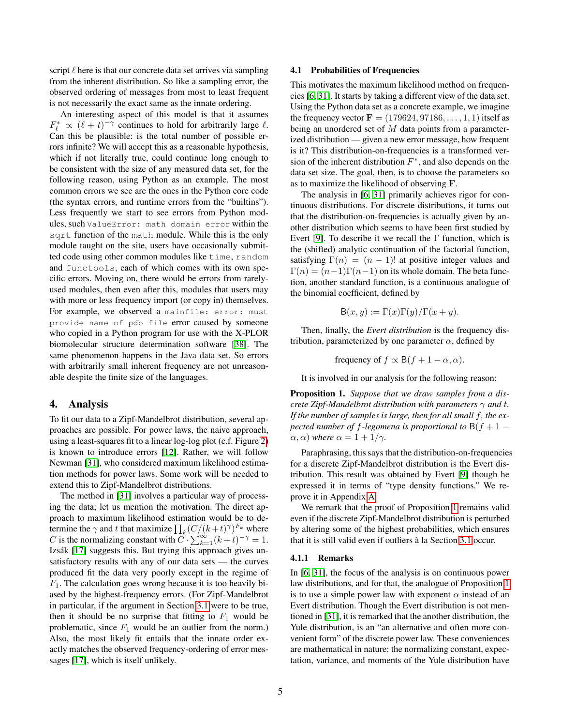script  $\ell$  here is that our concrete data set arrives via sampling from the inherent distribution. So like a sampling error, the observed ordering of messages from most to least frequent is not necessarily the exact same as the innate ordering.

An interesting aspect of this model is that it assumes  $F_{\ell}^* \propto (\ell + t)^{-\gamma}$  continues to hold for arbitrarily large  $\ell$ . Can this be plausible: is the total number of possible errors infinite? We will accept this as a reasonable hypothesis, which if not literally true, could continue long enough to be consistent with the size of any measured data set, for the following reason, using Python as an example. The most common errors we see are the ones in the Python core code (the syntax errors, and runtime errors from the "builtins"). Less frequently we start to see errors from Python modules, such ValueError: math domain error within the sqrt function of the math module. While this is the only module taught on the site, users have occasionally submitted code using other common modules like time, random and functools, each of which comes with its own specific errors. Moving on, there would be errors from rarelyused modules, then even after this, modules that users may with more or less frequency import (or copy in) themselves. For example, we observed a mainfile: error: must provide name of pdb file error caused by someone who copied in a Python program for use with the X-PLOR biomolecular structure determination software [\[38\]](#page-7-17). The same phenomenon happens in the Java data set. So errors with arbitrarily small inherent frequency are not unreasonable despite the finite size of the languages.

## 4. Analysis

To fit our data to a Zipf-Mandelbrot distribution, several approaches are possible. For power laws, the naive approach, using a least-squares fit to a linear log-log plot (c.f. Figure [2\)](#page-3-1) is known to introduce errors [\[12\]](#page-6-20). Rather, we will follow Newman [\[31\]](#page-7-15), who considered maximum likelihood estimation methods for power laws. Some work will be needed to extend this to Zipf-Mandelbrot distributions.

The method in [\[31\]](#page-7-15) involves a particular way of processing the data; let us mention the motivation. The direct approach to maximum likelihood estimation would be to determine the  $\gamma$  and t that maximize  $\prod_k (C/(k+t)^\gamma)^{F_k}$  where C is the normalizing constant with  $C \cdot \sum_{k=1}^{\infty} (k+t)^{-\gamma} = 1$ . Izsák [\[17\]](#page-6-21) suggests this. But trying this approach gives unsatisfactory results with any of our data sets — the curves produced fit the data very poorly except in the regime of  $F_1$ . The calculation goes wrong because it is too heavily biased by the highest-frequency errors. (For Zipf-Mandelbrot in particular, if the argument in Section [3.1](#page-3-2) were to be true, then it should be no surprise that fitting to  $F_1$  would be problematic, since  $F_1$  would be an outlier from the norm.) Also, the most likely fit entails that the innate order exactly matches the observed frequency-ordering of error messages [\[17\]](#page-6-21), which is itself unlikely.

## 4.1 Probabilities of Frequencies

This motivates the maximum likelihood method on frequencies [\[6,](#page-6-19) [31\]](#page-7-15). It starts by taking a different view of the data set. Using the Python data set as a concrete example, we imagine the frequency vector  $\mathbf{F} = (179624, 97186, \dots, 1, 1)$  itself as being an unordered set of M data points from a parameterized distribution — given a new error message, how frequent is it? This distribution-on-frequencies is a transformed version of the inherent distribution  $F^*$ , and also depends on the data set size. The goal, then, is to choose the parameters so as to maximize the likelihood of observing F.

The analysis in [\[6,](#page-6-19) [31\]](#page-7-15) primarily achieves rigor for continuous distributions. For discrete distributions, it turns out that the distribution-on-frequencies is actually given by another distribution which seems to have been first studied by Evert [\[9\]](#page-6-22). To describe it we recall the  $\Gamma$  function, which is the (shifted) analytic continuation of the factorial function, satisfying  $\Gamma(n) = (n-1)!$  at positive integer values and  $\Gamma(n) = (n-1)\Gamma(n-1)$  on its whole domain. The beta function, another standard function, is a continuous analogue of the binomial coefficient, defined by

$$
B(x, y) := \Gamma(x)\Gamma(y)/\Gamma(x+y).
$$

Then, finally, the *Evert distribution* is the frequency distribution, parameterized by one parameter  $\alpha$ , defined by

frequency of  $f \propto B(f + 1 - \alpha, \alpha)$ .

It is involved in our analysis for the following reason:

<span id="page-4-0"></span>Proposition 1. *Suppose that we draw samples from a discrete Zipf-Mandelbrot distribution with parameters* γ *and* t*. If the number of samples is large, then for all small* f*, the expected number of f-legomena is proportional to*  $B(f + 1 (\alpha, \alpha)$  *where*  $\alpha = 1 + 1/\gamma$ *.* 

Paraphrasing, this says that the distribution-on-frequencies for a discrete Zipf-Mandelbrot distribution is the Evert distribution. This result was obtained by Evert [\[9\]](#page-6-22) though he expressed it in terms of "type density functions." We reprove it in Appendix [A.](#page-7-18)

We remark that the proof of Proposition [1](#page-4-0) remains valid even if the discrete Zipf-Mandelbrot distribution is perturbed by altering some of the highest probabilities, which ensures that it is still valid even if outliers à la Section [3.1](#page-3-2) occur.

## 4.1.1 Remarks

In [\[6,](#page-6-19) [31\]](#page-7-15), the focus of the analysis is on continuous power law distributions, and for that, the analogue of Proposition [1](#page-4-0) is to use a simple power law with exponent  $\alpha$  instead of an Evert distribution. Though the Evert distribution is not mentioned in [\[31\]](#page-7-15), it is remarked that the another distribution, the Yule distribution, is an "an alternative and often more convenient form" of the discrete power law. These conveniences are mathematical in nature: the normalizing constant, expectation, variance, and moments of the Yule distribution have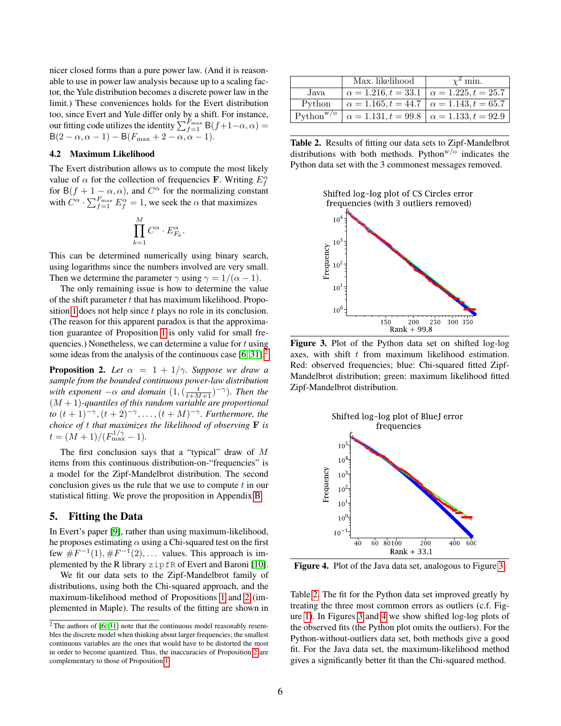nicer closed forms than a pure power law. (And it is reasonable to use in power law analysis because up to a scaling factor, the Yule distribution becomes a discrete power law in the limit.) These conveniences holds for the Evert distribution too, since Evert and Yule differ only by a shift. For instance, our fitting code utilizes the identity  $\sum_{f=1}^{F_{\rm max}} \mathsf{B}(f+1-\alpha,\alpha) =$  $B(2-\alpha,\alpha-1)-B(F_{\text{max}}+2-\alpha,\alpha-1).$ 

#### 4.2 Maximum Likelihood

The Evert distribution allows us to compute the most likely value of  $\alpha$  for the collection of frequencies **F**. Writing  $E_f^{\alpha}$ for B( $f + 1 - \alpha, \alpha$ ), and  $C^{\alpha}$  for the normalizing constant with  $C^{\alpha} \cdot \sum_{f=1}^{F_{\text{max}}} E_f^{\alpha} = 1$ , we seek the  $\alpha$  that maximizes

$$
\prod_{k=1}^M C^\alpha \cdot E_{F_k}^\alpha
$$

.

This can be determined numerically using binary search, using logarithms since the numbers involved are very small. Then we determine the parameter  $\gamma$  using  $\gamma = 1/(\alpha - 1)$ .

The only remaining issue is how to determine the value of the shift parameter  $t$  that has maximum likelihood. Propo-sition [1](#page-4-0) does not help since t plays no role in its conclusion. (The reason for this apparent paradox is that the approximation guarantee of Proposition [1](#page-4-0) is only valid for small frequencies.) Nonetheless, we can determine a value for  $t$  using some ideas from the analysis of the continuous case [\[6,](#page-6-19) [31\]](#page-7-15).<sup>[2](#page-5-0)</sup>

<span id="page-5-1"></span>**Proposition 2.** Let  $\alpha = 1 + 1/\gamma$ *. Suppose we draw a sample from the bounded continuous power-law distribution with exponent*  $-\alpha$  *and domain*  $(1, (\frac{t}{t+M+1})^{-\gamma})$ *. Then the* (M + 1)*-quantiles of this random variable are proportional to*  $(t + 1)^{-\gamma}, (t + 2)^{-\gamma}, \ldots, (t + M)^{-\gamma}$ . *Furthermore, the choice of* t *that maximizes the likelihood of observing* F *is*  $t = (M+1)/(F_{\text{max}}^{1/\gamma} - 1).$ 

The first conclusion says that a "typical" draw of  $M$ items from this continuous distribution-on-"frequencies" is a model for the Zipf-Mandelbrot distribution. The second conclusion gives us the rule that we use to compute  $t$  in our statistical fitting. We prove the proposition in Appendix [B.](#page-7-19)

# 5. Fitting the Data

In Evert's paper [\[9\]](#page-6-22), rather than using maximum-likelihood, he proposes estimating  $\alpha$  using a Chi-squared test on the first few  $\#F^{-1}(1), \#F^{-1}(2), \ldots$  values. This approach is implemented by the R library zipfR of Evert and Baroni [\[10\]](#page-6-23).

We fit our data sets to the Zipf-Mandelbrot family of distributions, using both the Chi-squared approach, and the maximum-likelihood method of Propositions [1](#page-4-0) and [2](#page-5-1) (implemented in Maple). The results of the fitting are shown in

|                       | Max. likelihood                                          | $\chi^2$ min. |
|-----------------------|----------------------------------------------------------|---------------|
| Java.                 | $\alpha = 1.216, t = 33.1 \mid \alpha = 1.225, t = 25.7$ |               |
| Python                | $\alpha = 1.165, t = 44.7 \mid \alpha = 1.143, t = 65.7$ |               |
| Python <sup>w/o</sup> | $\alpha = 1.131, t = 99.8 \mid \alpha = 1.133, t = 92.9$ |               |

<span id="page-5-3"></span>Table 2. Results of fitting our data sets to Zipf-Mandelbrot distributions with both methods. Python $w/\circ$  indicates the Python data set with the 3 commonest messages removed.





<span id="page-5-2"></span>Figure 3. Plot of the Python data set on shifted log-log axes, with shift  $t$  from maximum likelihood estimation. Red: observed frequencies; blue: Chi-squared fitted Zipf-Mandelbrot distribution; green: maximum likelihood fitted Zipf-Mandelbrot distribution.



<span id="page-5-4"></span>Figure 4. Plot of the Java data set, analogous to Figure [3.](#page-5-2)

Table [2.](#page-5-3) The fit for the Python data set improved greatly by treating the three most common errors as outliers (c.f. Figure [1\)](#page-2-0). In Figures [3](#page-5-2) and [4](#page-5-4) we show shifted log-log plots of the observed fits (the Python plot omits the outliers). For the Python-without-outliers data set, both methods give a good fit. For the Java data set, the maximum-likelihood method gives a significantly better fit than the Chi-squared method.

<span id="page-5-0"></span> $2$ The authors of [\[6,](#page-6-19) [31\]](#page-7-15) note that the continuous model reasonably resembles the discrete model when thinking about larger frequencies; the smallest continuous variables are the ones that would have to be distorted the most in order to become quantized. Thus, the inaccuracies of Proposition [2](#page-5-1) are complementary to those of Proposition [1.](#page-4-0)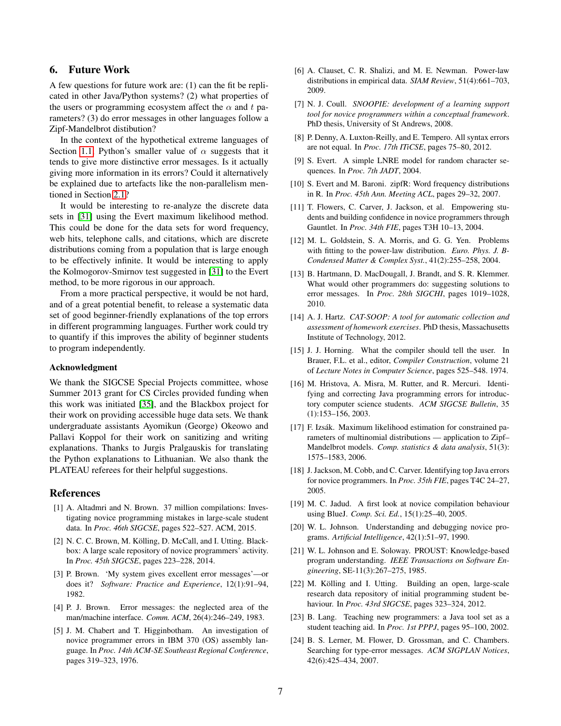# 6. Future Work

A few questions for future work are: (1) can the fit be replicated in other Java/Python systems? (2) what properties of the users or programming ecosystem affect the  $\alpha$  and t parameters? (3) do error messages in other languages follow a Zipf-Mandelbrot distibution?

In the context of the hypothetical extreme languages of Section [1.1,](#page-1-2) Python's smaller value of  $\alpha$  suggests that it tends to give more distinctive error messages. Is it actually giving more information in its errors? Could it alternatively be explained due to artefacts like the non-parallelism mentioned in Section [2.1?](#page-2-1)

It would be interesting to re-analyze the discrete data sets in [\[31\]](#page-7-15) using the Evert maximum likelihood method. This could be done for the data sets for word frequency, web hits, telephone calls, and citations, which are discrete distributions coming from a population that is large enough to be effectively infinite. It would be interesting to apply the Kolmogorov-Smirnov test suggested in [\[31\]](#page-7-15) to the Evert method, to be more rigorous in our approach.

From a more practical perspective, it would be not hard, and of a great potential benefit, to release a systematic data set of good beginner-friendly explanations of the top errors in different programming languages. Further work could try to quantify if this improves the ability of beginner students to program independently.

#### Acknowledgment

We thank the SIGCSE Special Projects committee, whose Summer 2013 grant for CS Circles provided funding when this work was initiated [\[35\]](#page-7-1), and the Blackbox project for their work on providing accessible huge data sets. We thank undergraduate assistants Ayomikun (George) Okeowo and Pallavi Koppol for their work on sanitizing and writing explanations. Thanks to Jurgis Pralgauskis for translating the Python explanations to Lithuanian. We also thank the PLATEAU referees for their helpful suggestions.

## References

- <span id="page-6-10"></span>[1] A. Altadmri and N. Brown. 37 million compilations: Investigating novice programming mistakes in large-scale student data. In *Proc. 46th SIGCSE*, pages 522–527. ACM, 2015.
- <span id="page-6-11"></span>[2] N. C. C. Brown, M. Kölling, D. McCall, and I. Utting. Blackbox: A large scale repository of novice programmers' activity. In *Proc. 45th SIGCSE*, pages 223–228, 2014.
- <span id="page-6-16"></span>[3] P. Brown. 'My system gives excellent error messages'—or does it? *Software: Practice and Experience*, 12(1):91–94, 1982.
- <span id="page-6-17"></span>[4] P. J. Brown. Error messages: the neglected area of the man/machine interface. *Comm. ACM*, 26(4):246–249, 1983.
- <span id="page-6-9"></span>[5] J. M. Chabert and T. Higginbotham. An investigation of novice programmer errors in IBM 370 (OS) assembly language. In *Proc. 14th ACM-SE Southeast Regional Conference*, pages 319–323, 1976.
- <span id="page-6-19"></span>[6] A. Clauset, C. R. Shalizi, and M. E. Newman. Power-law distributions in empirical data. *SIAM Review*, 51(4):661–703, 2009.
- <span id="page-6-6"></span>[7] N. J. Coull. *SNOOPIE: development of a learning support tool for novice programmers within a conceptual framework*. PhD thesis, University of St Andrews, 2008.
- <span id="page-6-8"></span>[8] P. Denny, A. Luxton-Reilly, and E. Tempero. All syntax errors are not equal. In *Proc. 17th ITiCSE*, pages 75–80, 2012.
- <span id="page-6-22"></span>[9] S. Evert. A simple LNRE model for random character sequences. In *Proc. 7th JADT*, 2004.
- <span id="page-6-23"></span>[10] S. Evert and M. Baroni. zipfR: Word frequency distributions in R. In *Proc. 45th Ann. Meeting ACL*, pages 29–32, 2007.
- <span id="page-6-1"></span>[11] T. Flowers, C. Carver, J. Jackson, et al. Empowering students and building confidence in novice programmers through Gauntlet. In *Proc. 34th FIE*, pages T3H 10–13, 2004.
- <span id="page-6-20"></span>[12] M. L. Goldstein, S. A. Morris, and G. G. Yen. Problems with fitting to the power-law distribution. *Euro. Phys. J. B-Condensed Matter & Complex Syst.*, 41(2):255–258, 2004.
- <span id="page-6-18"></span>[13] B. Hartmann, D. MacDougall, J. Brandt, and S. R. Klemmer. What would other programmers do: suggesting solutions to error messages. In *Proc. 28th SIGCHI*, pages 1019–1028, 2010.
- <span id="page-6-7"></span>[14] A. J. Hartz. *CAT-SOOP: A tool for automatic collection and assessment of homework exercises*. PhD thesis, Massachusetts Institute of Technology, 2012.
- <span id="page-6-0"></span>[15] J. J. Horning. What the compiler should tell the user. In Brauer, F.L. et al., editor, *Compiler Construction*, volume 21 of *Lecture Notes in Computer Science*, pages 525–548. 1974.
- <span id="page-6-2"></span>[16] M. Hristova, A. Misra, M. Rutter, and R. Mercuri. Identifying and correcting Java programming errors for introductory computer science students. *ACM SIGCSE Bulletin*, 35 (1):153–156, 2003.
- <span id="page-6-21"></span>[17] F. Izsák. Maximum likelihood estimation for constrained parameters of multinomial distributions — application to Zipf– Mandelbrot models. *Comp. statistics & data analysis*, 51(3): 1575–1583, 2006.
- <span id="page-6-12"></span>[18] J. Jackson, M. Cobb, and C. Carver. Identifying top Java errors for novice programmers. In *Proc. 35th FIE*, pages T4C 24–27, 2005.
- <span id="page-6-13"></span>[19] M. C. Jadud. A first look at novice compilation behaviour using BlueJ. *Comp. Sci. Ed.*, 15(1):25–40, 2005.
- <span id="page-6-15"></span>[20] W. L. Johnson. Understanding and debugging novice programs. *Artificial Intelligence*, 42(1):51–97, 1990.
- <span id="page-6-3"></span>[21] W. L. Johnson and E. Soloway. PROUST: Knowledge-based program understanding. *IEEE Transactions on Software Engineering*, SE-11(3):267–275, 1985.
- <span id="page-6-14"></span>[22] M. Kölling and I. Utting. Building an open, large-scale research data repository of initial programming student behaviour. In *Proc. 43rd SIGCSE*, pages 323–324, 2012.
- <span id="page-6-4"></span>[23] B. Lang. Teaching new programmers: a Java tool set as a student teaching aid. In *Proc. 1st PPPJ*, pages 95–100, 2002.
- <span id="page-6-5"></span>[24] B. S. Lerner, M. Flower, D. Grossman, and C. Chambers. Searching for type-error messages. *ACM SIGPLAN Notices*, 42(6):425–434, 2007.